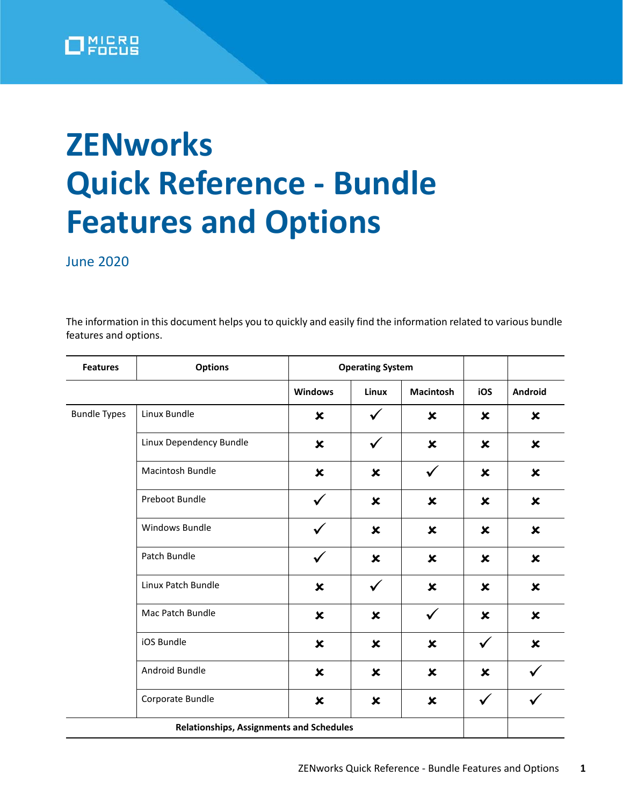

## **ZENworks Quick Reference - Bundle Features and Options**

June 2020

The information in this document helps you to quickly and easily find the information related to various bundle features and options.

| <b>Features</b>     | <b>Options</b>                                  |                           | <b>Operating System</b>   |                           |                           |                           |
|---------------------|-------------------------------------------------|---------------------------|---------------------------|---------------------------|---------------------------|---------------------------|
|                     |                                                 | <b>Windows</b>            | Linux                     | <b>Macintosh</b>          | iOS                       | Android                   |
| <b>Bundle Types</b> | Linux Bundle                                    | $\boldsymbol{\mathsf{x}}$ | ✓                         | $\boldsymbol{\mathsf{x}}$ | $\boldsymbol{\mathsf{x}}$ | $\boldsymbol{\mathsf{x}}$ |
|                     | Linux Dependency Bundle                         | $\boldsymbol{\mathsf{x}}$ | $\checkmark$              | $\boldsymbol{\mathsf{x}}$ | $\boldsymbol{\mathsf{x}}$ | $\boldsymbol{\mathsf{x}}$ |
|                     | <b>Macintosh Bundle</b>                         | $\pmb{\times}$            | $\boldsymbol{\mathsf{x}}$ | $\checkmark$              | $\boldsymbol{\mathsf{x}}$ | $\pmb{\times}$            |
|                     | Preboot Bundle                                  | $\checkmark$              | $\boldsymbol{\mathsf{x}}$ | $\boldsymbol{\mathsf{x}}$ | $\boldsymbol{\mathsf{x}}$ | $\boldsymbol{\mathsf{x}}$ |
|                     | Windows Bundle                                  | ✓                         | $\boldsymbol{\mathsf{x}}$ | $\boldsymbol{\mathsf{x}}$ | $\boldsymbol{\mathsf{x}}$ | $\boldsymbol{\mathsf{x}}$ |
|                     | Patch Bundle                                    | $\checkmark$              | $\boldsymbol{\mathsf{x}}$ | $\boldsymbol{\mathsf{x}}$ | $\boldsymbol{\mathsf{x}}$ | $\boldsymbol{\mathsf{x}}$ |
|                     | Linux Patch Bundle                              | ×                         | $\checkmark$              | $\boldsymbol{\mathsf{x}}$ | $\boldsymbol{\mathsf{x}}$ | $\boldsymbol{\mathsf{x}}$ |
|                     | Mac Patch Bundle                                | ×                         | $\boldsymbol{\mathsf{x}}$ | $\checkmark$              | $\boldsymbol{\mathsf{x}}$ | $\boldsymbol{\mathsf{x}}$ |
|                     | iOS Bundle                                      | $\boldsymbol{\mathsf{x}}$ | $\boldsymbol{\mathsf{x}}$ | $\boldsymbol{\mathsf{x}}$ | $\checkmark$              | $\pmb{\times}$            |
|                     | Android Bundle                                  | $\boldsymbol{\mathsf{x}}$ | $\boldsymbol{\mathsf{x}}$ | $\boldsymbol{\mathsf{x}}$ | $\boldsymbol{\mathsf{x}}$ | $\checkmark$              |
|                     | Corporate Bundle                                | $\boldsymbol{\mathsf{x}}$ | $\boldsymbol{\mathsf{x}}$ | $\pmb{\times}$            | $\checkmark$              | $\checkmark$              |
|                     | <b>Relationships, Assignments and Schedules</b> |                           |                           |                           |                           |                           |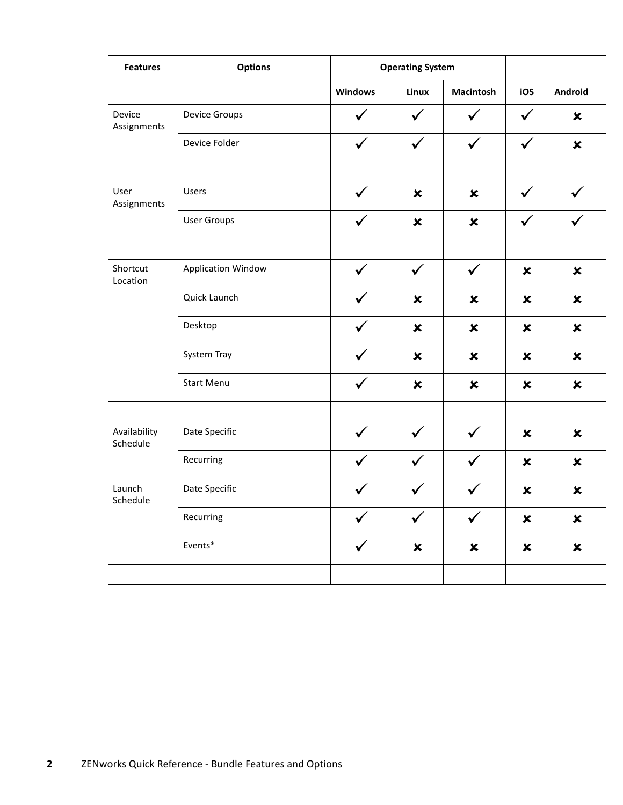| <b>Features</b>          | <b>Options</b>            |                | <b>Operating System</b>   |                           |                           |                           |
|--------------------------|---------------------------|----------------|---------------------------|---------------------------|---------------------------|---------------------------|
|                          |                           | <b>Windows</b> | Linux                     | <b>Macintosh</b>          | iOS                       | Android                   |
| Device<br>Assignments    | <b>Device Groups</b>      | $\checkmark$   | $\checkmark$              | $\checkmark$              | $\checkmark$              | $\pmb{\times}$            |
|                          | Device Folder             | $\checkmark$   | $\checkmark$              | $\checkmark$              | $\checkmark$              | $\pmb{\times}$            |
|                          |                           |                |                           |                           |                           |                           |
| User<br>Assignments      | <b>Users</b>              | $\checkmark$   | $\pmb{\times}$            | $\pmb{\times}$            | $\checkmark$              | $\checkmark$              |
|                          | <b>User Groups</b>        |                | $\pmb{\times}$            | $\boldsymbol{\mathsf{x}}$ | ✓                         |                           |
|                          |                           |                |                           |                           |                           |                           |
| Shortcut<br>Location     | <b>Application Window</b> |                |                           | $\checkmark$              | $\pmb{\times}$            | $\pmb{\times}$            |
|                          | Quick Launch              |                | $\pmb{\times}$            | $\pmb{\times}$            | $\pmb{\times}$            | $\pmb{\times}$            |
|                          | Desktop                   | $\checkmark$   | $\pmb{\times}$            | $\pmb{\times}$            | $\pmb{\times}$            | $\pmb{\times}$            |
|                          | System Tray               |                | $\boldsymbol{\mathsf{x}}$ | $\boldsymbol{\mathsf{x}}$ | $\pmb{\times}$            | $\boldsymbol{\mathsf{x}}$ |
|                          | <b>Start Menu</b>         | $\checkmark$   | $\pmb{\times}$            | $\pmb{\times}$            | $\pmb{\times}$            | $\pmb{\times}$            |
|                          |                           |                |                           |                           |                           |                           |
| Availability<br>Schedule | Date Specific             | $\checkmark$   | $\checkmark$              | $\checkmark$              | $\boldsymbol{\mathsf{x}}$ | $\pmb{\times}$            |
|                          | Recurring                 | $\checkmark$   | $\checkmark$              | $\checkmark$              | $\pmb{\times}$            | $\pmb{\times}$            |
| Launch<br>Schedule       | Date Specific             |                |                           |                           | $\pmb{\times}$            | $\pmb{\times}$            |
|                          | Recurring                 |                |                           |                           | $\pmb{\times}$            | $\pmb{\times}$            |
|                          | Events*                   | $\checkmark$   | $\pmb{\times}$            | $\pmb{\times}$            | $\pmb{\times}$            | $\boldsymbol{\mathsf{x}}$ |
|                          |                           |                |                           |                           |                           |                           |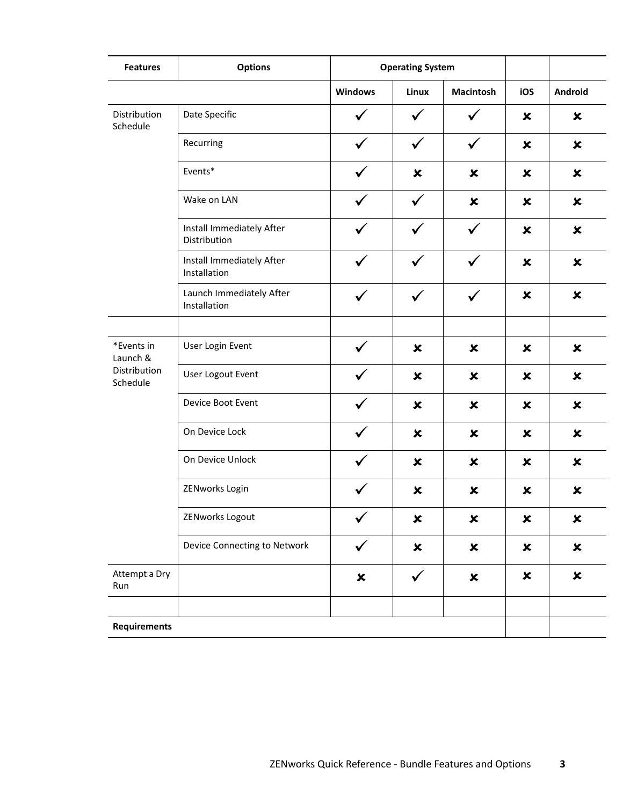| <b>Features</b>          | <b>Options</b>                            |                | <b>Operating System</b>   |                           |                           |                           |
|--------------------------|-------------------------------------------|----------------|---------------------------|---------------------------|---------------------------|---------------------------|
|                          |                                           | <b>Windows</b> | Linux                     | <b>Macintosh</b>          | iOS                       | Android                   |
| Distribution<br>Schedule | Date Specific                             |                |                           |                           | ×                         | $\boldsymbol{\mathsf{x}}$ |
|                          | Recurring                                 | ✓              | $\checkmark$              | $\checkmark$              | $\boldsymbol{\mathsf{x}}$ | $\boldsymbol{\mathsf{x}}$ |
|                          | Events*                                   |                | $\pmb{\times}$            | $\pmb{\times}$            | $\boldsymbol{\mathsf{x}}$ | $\pmb{\times}$            |
|                          | Wake on LAN                               |                | $\checkmark$              | $\pmb{\times}$            | $\boldsymbol{\mathsf{x}}$ | $\pmb{\times}$            |
|                          | Install Immediately After<br>Distribution |                |                           | $\checkmark$              | $\boldsymbol{\mathsf{x}}$ | $\boldsymbol{\mathsf{x}}$ |
|                          | Install Immediately After<br>Installation |                | $\checkmark$              | $\checkmark$              | $\boldsymbol{\mathsf{x}}$ | $\pmb{\times}$            |
|                          | Launch Immediately After<br>Installation  | ✓              | $\checkmark$              | $\checkmark$              | $\boldsymbol{\mathsf{x}}$ | $\pmb{\times}$            |
|                          |                                           |                |                           |                           |                           |                           |
| *Events in<br>Launch &   | User Login Event                          |                | $\boldsymbol{\mathsf{x}}$ | $\boldsymbol{\mathsf{x}}$ | $\boldsymbol{\mathsf{x}}$ | $\pmb{\times}$            |
| Distribution<br>Schedule | User Logout Event                         |                | $\boldsymbol{\mathsf{x}}$ | $\boldsymbol{\mathsf{x}}$ | ×                         | $\boldsymbol{\mathsf{x}}$ |
|                          | Device Boot Event                         |                | $\boldsymbol{\mathsf{x}}$ | $\boldsymbol{\mathsf{x}}$ | $\boldsymbol{\mathsf{x}}$ | $\pmb{\times}$            |
|                          | On Device Lock                            |                | $\boldsymbol{\mathsf{x}}$ | $\boldsymbol{\mathsf{x}}$ | ×                         | $\boldsymbol{\mathsf{x}}$ |
|                          | On Device Unlock                          |                | $\boldsymbol{\mathsf{x}}$ | $\boldsymbol{\mathsf{x}}$ | ×                         | $\boldsymbol{\mathsf{x}}$ |
|                          | ZENworks Login                            |                | $\pmb{\times}$            | ×                         | ×                         | $\boldsymbol{\mathsf{x}}$ |
|                          | ZENworks Logout                           |                | $\pmb{\times}$            | $\pmb{\times}$            | $\boldsymbol{\mathsf{x}}$ | $\pmb{\times}$            |
|                          | Device Connecting to Network              | $\checkmark$   | $\pmb{\times}$            | $\boldsymbol{\mathsf{x}}$ | $\boldsymbol{\mathsf{x}}$ | $\pmb{\times}$            |
| Attempt a Dry<br>Run     |                                           | $\pmb{\times}$ | $\checkmark$              | $\boldsymbol{\mathsf{x}}$ | $\boldsymbol{\mathsf{x}}$ | $\pmb{\times}$            |
|                          |                                           |                |                           |                           |                           |                           |
| <b>Requirements</b>      |                                           |                |                           |                           |                           |                           |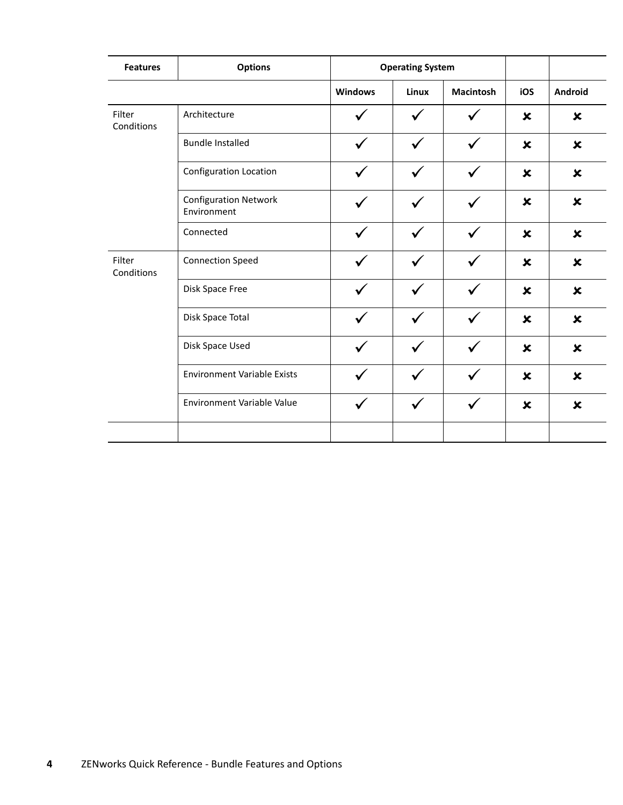| <b>Features</b>      | <b>Options</b>                              |                | <b>Operating System</b> |                  |                           |                           |
|----------------------|---------------------------------------------|----------------|-------------------------|------------------|---------------------------|---------------------------|
|                      |                                             | <b>Windows</b> | Linux                   | <b>Macintosh</b> | iOS                       | Android                   |
| Filter<br>Conditions | Architecture                                |                |                         |                  | $\boldsymbol{\mathsf{x}}$ | $\pmb{\times}$            |
|                      | <b>Bundle Installed</b>                     |                |                         |                  | $\boldsymbol{\mathsf{x}}$ | $\boldsymbol{\mathsf{x}}$ |
|                      | Configuration Location                      |                |                         | $\checkmark$     | $\pmb{\times}$            | $\pmb{\times}$            |
|                      | <b>Configuration Network</b><br>Environment |                | ✓                       | ✓                | $\boldsymbol{\mathsf{x}}$ | $\boldsymbol{\mathsf{x}}$ |
|                      | Connected                                   |                |                         | ✓                | $\boldsymbol{\mathsf{x}}$ | $\boldsymbol{\mathsf{x}}$ |
| Filter<br>Conditions | <b>Connection Speed</b>                     |                |                         |                  | $\pmb{\times}$            | $\pmb{\times}$            |
|                      | Disk Space Free                             |                |                         |                  | $\boldsymbol{\mathsf{x}}$ | $\boldsymbol{\mathsf{x}}$ |
|                      | Disk Space Total                            |                |                         |                  | $\boldsymbol{\mathsf{x}}$ | $\boldsymbol{\mathsf{x}}$ |
|                      | Disk Space Used                             |                |                         |                  | $\boldsymbol{\mathsf{x}}$ | $\boldsymbol{\mathsf{x}}$ |
|                      | <b>Environment Variable Exists</b>          |                |                         |                  | $\boldsymbol{\mathsf{x}}$ | $\boldsymbol{\mathsf{x}}$ |
|                      | Environment Variable Value                  |                |                         |                  | $\boldsymbol{\mathsf{x}}$ | $\boldsymbol{\mathsf{x}}$ |
|                      |                                             |                |                         |                  |                           |                           |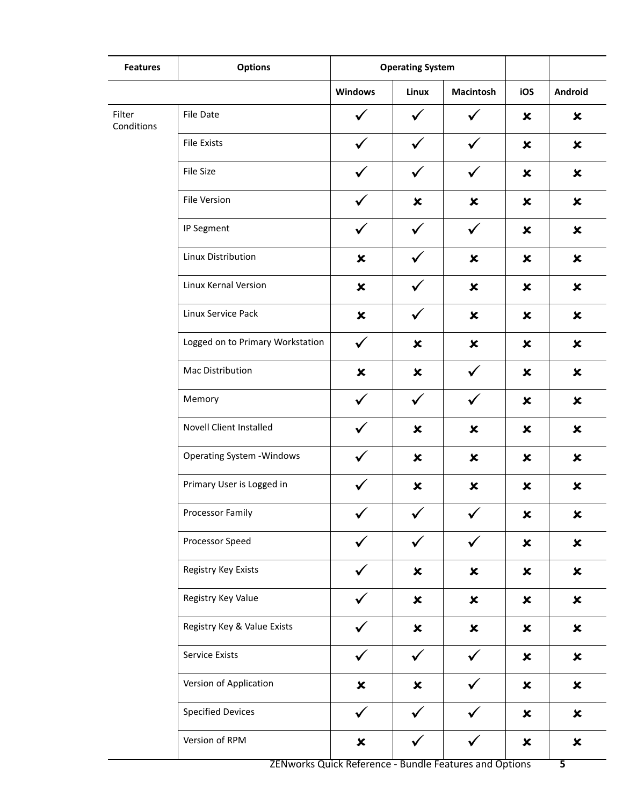| <b>Features</b>      | <b>Options</b>                    |                           | <b>Operating System</b>   |                           |                           |                           |
|----------------------|-----------------------------------|---------------------------|---------------------------|---------------------------|---------------------------|---------------------------|
|                      |                                   | <b>Windows</b>            | Linux                     | <b>Macintosh</b>          | iOS                       | Android                   |
| Filter<br>Conditions | File Date                         |                           | $\checkmark$              |                           | ×                         | $\boldsymbol{\mathsf{x}}$ |
|                      | <b>File Exists</b>                |                           | $\checkmark$              | ✓                         | $\boldsymbol{\mathsf{x}}$ | $\pmb{\times}$            |
|                      | File Size                         |                           |                           | ✓                         | $\pmb{\times}$            | $\pmb{\times}$            |
|                      | File Version                      |                           | $\pmb{\times}$            | $\pmb{\times}$            | $\boldsymbol{\mathsf{x}}$ | $\pmb{\times}$            |
|                      | IP Segment                        | $\checkmark$              | $\checkmark$              | $\checkmark$              | $\boldsymbol{\mathsf{x}}$ | $\pmb{\times}$            |
|                      | Linux Distribution                | $\pmb{\times}$            |                           | $\pmb{\times}$            | $\pmb{\times}$            | $\pmb{\times}$            |
|                      | Linux Kernal Version              | $\pmb{\times}$            |                           | $\pmb{\times}$            | $\boldsymbol{\mathsf{x}}$ | $\pmb{\times}$            |
|                      | Linux Service Pack                | $\pmb{\times}$            | $\checkmark$              | $\boldsymbol{\mathsf{x}}$ | $\boldsymbol{\mathsf{x}}$ | $\pmb{\times}$            |
|                      | Logged on to Primary Workstation  | $\checkmark$              | ×                         | $\pmb{\times}$            | $\pmb{\times}$            | $\pmb{\times}$            |
|                      | Mac Distribution                  | $\pmb{\times}$            | $\pmb{\times}$            | $\checkmark$              | $\boldsymbol{\mathsf{x}}$ | $\pmb{\times}$            |
|                      | Memory                            | $\checkmark$              | $\checkmark$              | $\checkmark$              | $\pmb{\times}$            | $\pmb{\times}$            |
|                      | Novell Client Installed           |                           | ×                         | $\pmb{\times}$            | $\pmb{\times}$            | $\pmb{\times}$            |
|                      | <b>Operating System - Windows</b> |                           | $\boldsymbol{\mathsf{x}}$ | $\pmb{\times}$            | ×                         | $\pmb{\times}$            |
|                      | Primary User is Logged in         | $\checkmark$              | ×                         | $\boldsymbol{\mathsf{x}}$ | ×                         | $\pmb{\times}$            |
|                      | Processor Family                  | ╭<br>✓                    | $\overline{\mathbf{v}}$   | $\epsilon$<br>✔           | $\pmb{\times}$            | $\pmb{\times}$            |
|                      | Processor Speed                   |                           |                           |                           | $\boldsymbol{\mathsf{x}}$ | $\pmb{\times}$            |
|                      | Registry Key Exists               | $\checkmark$              | $\pmb{\times}$            | $\boldsymbol{\mathsf{x}}$ | $\boldsymbol{\mathsf{x}}$ | $\pmb{\times}$            |
|                      | Registry Key Value                |                           | $\pmb{\times}$            | $\pmb{\times}$            | $\boldsymbol{\mathsf{x}}$ | $\pmb{\times}$            |
|                      | Registry Key & Value Exists       |                           | $\pmb{\times}$            | $\boldsymbol{\mathsf{x}}$ | $\boldsymbol{\mathsf{x}}$ | $\pmb{\times}$            |
|                      | Service Exists                    | $\checkmark$              | $\checkmark$              | $\checkmark$              | $\boldsymbol{\mathsf{x}}$ | $\pmb{\times}$            |
|                      | Version of Application            | $\pmb{\times}$            | $\pmb{\times}$            | $\checkmark$              | $\boldsymbol{\mathsf{x}}$ | $\pmb{\times}$            |
|                      | <b>Specified Devices</b>          | $\checkmark$              |                           |                           | $\boldsymbol{\mathsf{x}}$ | $\pmb{\times}$            |
|                      | Version of RPM                    | $\boldsymbol{\mathsf{x}}$ | $\checkmark$              | $\checkmark$              | $\boldsymbol{\mathsf{x}}$ | $\pmb{\times}$            |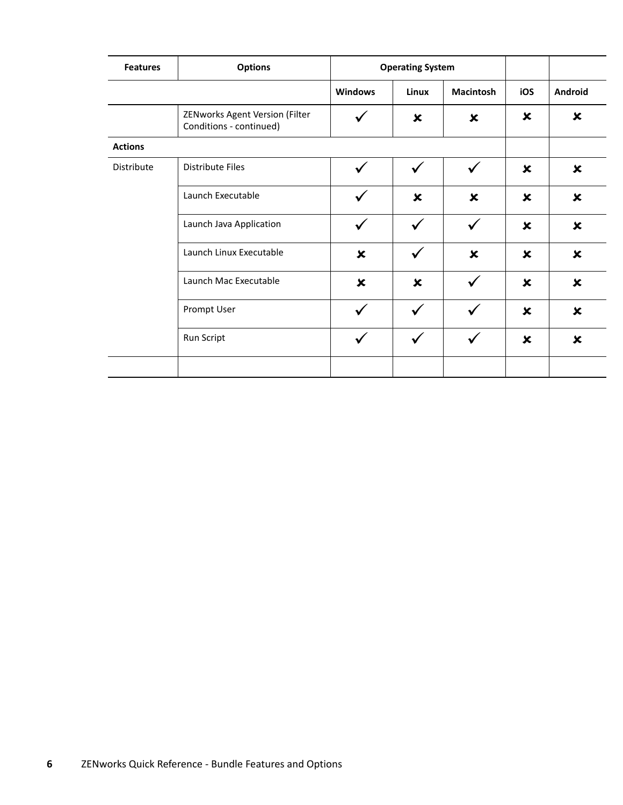| <b>Features</b> | <b>Options</b>                                            |                           | <b>Operating System</b>   |                           |                           |                           |
|-----------------|-----------------------------------------------------------|---------------------------|---------------------------|---------------------------|---------------------------|---------------------------|
|                 |                                                           | <b>Windows</b>            | Linux                     | <b>Macintosh</b>          | iOS                       | Android                   |
|                 | ZENworks Agent Version (Filter<br>Conditions - continued) | ✓                         | $\boldsymbol{\mathsf{x}}$ | $\boldsymbol{\mathsf{x}}$ | $\boldsymbol{\mathsf{x}}$ | $\boldsymbol{\mathsf{x}}$ |
| <b>Actions</b>  |                                                           |                           |                           |                           |                           |                           |
| Distribute      | <b>Distribute Files</b>                                   | ✓                         | $\checkmark$              | $\checkmark$              | $\boldsymbol{\mathsf{x}}$ | $\pmb{\times}$            |
|                 | Launch Executable                                         | ✓                         | $\boldsymbol{\mathsf{x}}$ | $\boldsymbol{\mathsf{x}}$ | $\boldsymbol{\mathsf{x}}$ | $\pmb{\times}$            |
|                 | Launch Java Application                                   |                           | $\checkmark$              | $\checkmark$              | $\boldsymbol{\mathsf{x}}$ | $\boldsymbol{\mathsf{x}}$ |
|                 | Launch Linux Executable                                   | ×                         | $\checkmark$              | $\boldsymbol{\mathsf{x}}$ | $\boldsymbol{\mathsf{x}}$ | $\pmb{\times}$            |
|                 | Launch Mac Executable                                     | $\boldsymbol{\mathsf{x}}$ | $\boldsymbol{\mathsf{x}}$ | $\checkmark$              | $\boldsymbol{\mathsf{x}}$ | $\pmb{\times}$            |
|                 | Prompt User                                               |                           | $\checkmark$              | $\checkmark$              | $\boldsymbol{\mathsf{x}}$ | $\boldsymbol{\mathsf{x}}$ |
|                 | Run Script                                                |                           | $\checkmark$              | ✔                         | $\boldsymbol{\mathsf{x}}$ | $\boldsymbol{\mathsf{x}}$ |
|                 |                                                           |                           |                           |                           |                           |                           |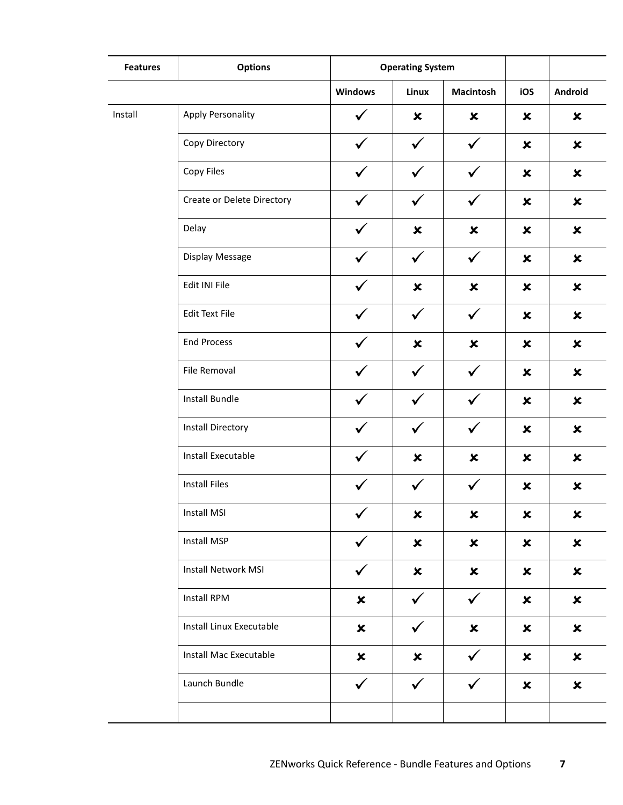| <b>Features</b> | <b>Options</b>                |                           | <b>Operating System</b>   |                           |                           |                |
|-----------------|-------------------------------|---------------------------|---------------------------|---------------------------|---------------------------|----------------|
|                 |                               | <b>Windows</b>            | <b>Linux</b>              | <b>Macintosh</b>          | iOS                       | Android        |
| Install         | <b>Apply Personality</b>      |                           | ×                         | $\boldsymbol{\mathsf{x}}$ | $\boldsymbol{\mathsf{x}}$ | $\pmb{\times}$ |
|                 | Copy Directory                | ✓                         | $\checkmark$              | $\checkmark$              | $\pmb{\times}$            | $\pmb{\times}$ |
|                 | Copy Files                    |                           |                           | $\checkmark$              | $\pmb{\times}$            | $\pmb{\times}$ |
|                 | Create or Delete Directory    | $\checkmark$              | $\checkmark$              | $\checkmark$              | $\boldsymbol{\mathsf{x}}$ | $\pmb{\times}$ |
|                 | Delay                         | ✓                         | $\pmb{\times}$            | $\pmb{\times}$            | $\pmb{\times}$            | $\pmb{\times}$ |
|                 | Display Message               |                           | $\checkmark$              | $\checkmark$              | $\pmb{\times}$            | $\pmb{\times}$ |
|                 | Edit INI File                 | ✓                         | $\pmb{\times}$            | $\pmb{\times}$            | $\boldsymbol{\mathsf{x}}$ | $\pmb{\times}$ |
|                 | <b>Edit Text File</b>         | ✓                         | $\checkmark$              | $\checkmark$              | $\boldsymbol{\mathsf{x}}$ | $\pmb{\times}$ |
|                 | <b>End Process</b>            |                           | ×                         | $\pmb{\times}$            | $\boldsymbol{\mathsf{x}}$ | $\pmb{\times}$ |
|                 | File Removal                  | $\checkmark$              | $\checkmark$              | $\checkmark$              | $\boldsymbol{\mathsf{x}}$ | $\pmb{\times}$ |
|                 | Install Bundle                | ✓                         | $\checkmark$              | $\checkmark$              | $\pmb{\times}$            | $\pmb{\times}$ |
|                 | <b>Install Directory</b>      |                           |                           | $\checkmark$              | $\pmb{\times}$            | $\pmb{\times}$ |
|                 | Install Executable            |                           | $\pmb{\times}$            | $\pmb{\times}$            | $\boldsymbol{\mathsf{x}}$ | $\pmb{\times}$ |
|                 | <b>Install Files</b>          | $\checkmark$              | $\checkmark$              | $\checkmark$              | $\boldsymbol{\mathsf{x}}$ | $\pmb{\times}$ |
|                 | <b>Install MSI</b>            | ╭<br>✓                    | ×                         | ×                         | ×                         | ×              |
|                 | Install MSP                   | $\checkmark$              | $\pmb{\times}$            | $\boldsymbol{\mathsf{x}}$ | $\pmb{\times}$            | $\pmb{\times}$ |
|                 | <b>Install Network MSI</b>    | $\checkmark$              | $\boldsymbol{\mathsf{x}}$ | $\boldsymbol{\mathsf{x}}$ | $\boldsymbol{\mathsf{x}}$ | $\pmb{\times}$ |
|                 | Install RPM                   | $\boldsymbol{\mathsf{x}}$ | $\checkmark$              | $\checkmark$              | $\pmb{\times}$            | $\pmb{\times}$ |
|                 | Install Linux Executable      | $\boldsymbol{\mathsf{x}}$ | $\checkmark$              | $\pmb{\times}$            | $\pmb{\times}$            | $\pmb{\times}$ |
|                 | <b>Install Mac Executable</b> | $\boldsymbol{\mathsf{x}}$ | $\boldsymbol{\mathsf{x}}$ | $\checkmark$              | $\boldsymbol{\mathsf{x}}$ | $\pmb{\times}$ |
|                 | Launch Bundle                 | $\checkmark$              | $\checkmark$              | $\checkmark$              | $\pmb{\times}$            | $\pmb{\times}$ |
|                 |                               |                           |                           |                           |                           |                |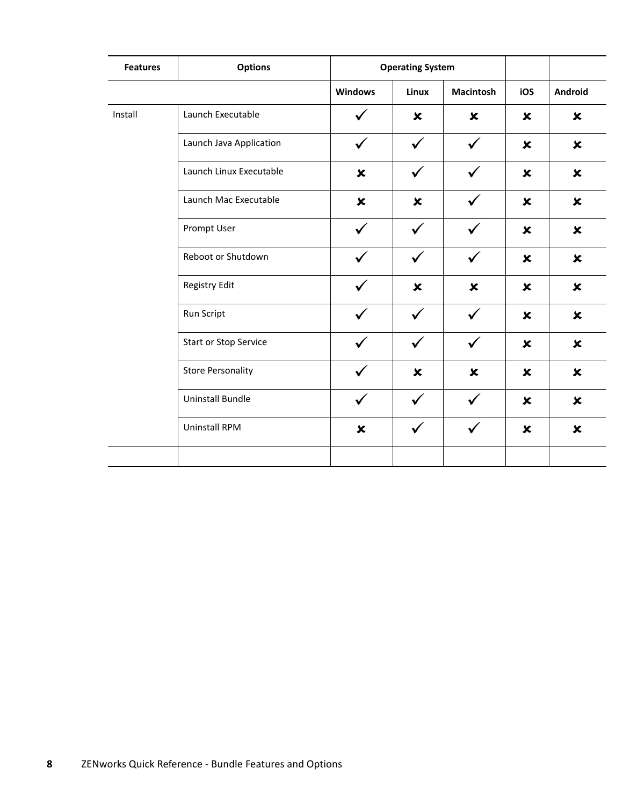| <b>Features</b> | <b>Options</b>               |                           | <b>Operating System</b>   |                           |                           |                           |
|-----------------|------------------------------|---------------------------|---------------------------|---------------------------|---------------------------|---------------------------|
|                 |                              | <b>Windows</b>            | Linux                     | <b>Macintosh</b>          | iOS                       | Android                   |
| Install         | Launch Executable            |                           | $\pmb{\times}$            | $\boldsymbol{\mathsf{x}}$ | $\boldsymbol{\mathsf{x}}$ | $\pmb{\times}$            |
|                 | Launch Java Application      |                           | $\checkmark$              | $\checkmark$              | $\boldsymbol{\mathsf{x}}$ | $\pmb{\times}$            |
|                 | Launch Linux Executable      | $\pmb{\times}$            | $\checkmark$              | $\checkmark$              | $\pmb{\times}$            | $\pmb{\times}$            |
|                 | Launch Mac Executable        | $\boldsymbol{\mathsf{x}}$ | $\boldsymbol{\mathsf{x}}$ | $\checkmark$              | $\boldsymbol{\mathsf{x}}$ | $\boldsymbol{\mathsf{x}}$ |
|                 | Prompt User                  |                           | $\checkmark$              | $\checkmark$              | $\boldsymbol{\mathsf{x}}$ | $\pmb{\times}$            |
|                 | Reboot or Shutdown           |                           | $\checkmark$              | $\checkmark$              | $\boldsymbol{\mathsf{x}}$ | $\pmb{\times}$            |
|                 | Registry Edit                |                           | $\boldsymbol{\mathsf{x}}$ | $\boldsymbol{\mathsf{x}}$ | $\boldsymbol{\mathsf{x}}$ | $\boldsymbol{\mathsf{x}}$ |
|                 | Run Script                   |                           | $\checkmark$              | $\checkmark$              | $\pmb{\times}$            | $\pmb{\times}$            |
|                 | <b>Start or Stop Service</b> |                           | $\checkmark$              | $\checkmark$              | $\boldsymbol{\mathsf{x}}$ | $\pmb{\times}$            |
|                 | <b>Store Personality</b>     |                           | $\pmb{\times}$            | $\boldsymbol{\mathsf{x}}$ | $\pmb{\times}$            | $\pmb{\times}$            |
|                 | <b>Uninstall Bundle</b>      | $\checkmark$              | $\checkmark$              | $\checkmark$              | $\pmb{\times}$            | $\pmb{\times}$            |
|                 | <b>Uninstall RPM</b>         | $\pmb{\times}$            | $\checkmark$              | $\checkmark$              | $\pmb{\times}$            | $\pmb{\times}$            |
|                 |                              |                           |                           |                           |                           |                           |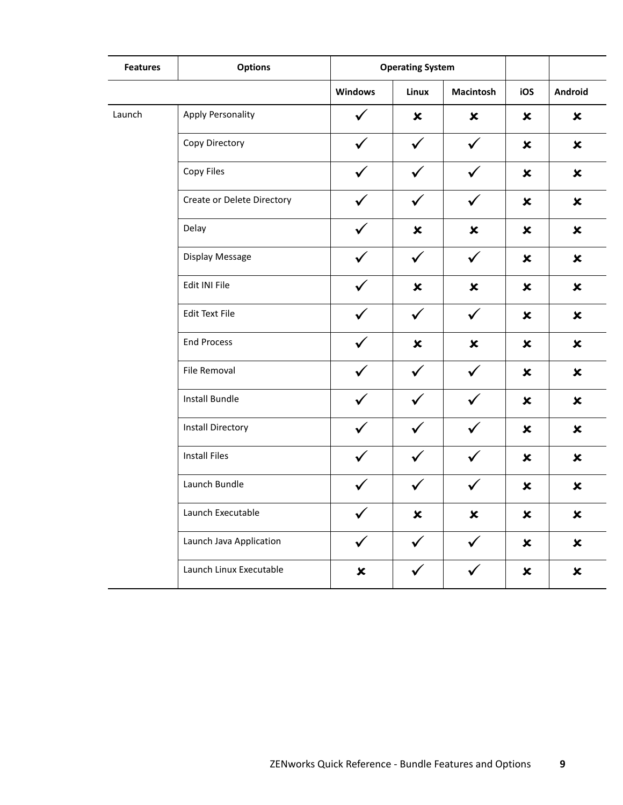| <b>Features</b> | <b>Options</b>             | <b>Operating System</b>   |                           |                  |                           |                           |
|-----------------|----------------------------|---------------------------|---------------------------|------------------|---------------------------|---------------------------|
|                 |                            | <b>Windows</b>            | Linux                     | <b>Macintosh</b> | iOS                       | Android                   |
| Launch          | <b>Apply Personality</b>   |                           | $\pmb{\times}$            | $\pmb{\times}$   | ×                         | $\boldsymbol{\mathsf{x}}$ |
|                 | Copy Directory             | ✓                         | $\checkmark$              | $\checkmark$     | $\boldsymbol{\mathsf{x}}$ | $\pmb{\times}$            |
|                 | Copy Files                 |                           |                           | $\checkmark$     | $\pmb{\times}$            | $\pmb{\times}$            |
|                 | Create or Delete Directory |                           | $\checkmark$              | $\checkmark$     | $\boldsymbol{\mathsf{x}}$ | $\pmb{\times}$            |
|                 | Delay                      | ✓                         | $\pmb{\times}$            | $\pmb{\times}$   | $\boldsymbol{\mathsf{x}}$ | $\pmb{\times}$            |
|                 | Display Message            |                           | $\checkmark$              | $\checkmark$     | $\pmb{\times}$            | $\pmb{\times}$            |
|                 | Edit INI File              | $\checkmark$              | $\pmb{\times}$            | $\pmb{\times}$   | $\boldsymbol{\mathsf{x}}$ | $\pmb{\times}$            |
|                 | <b>Edit Text File</b>      | ✓                         | $\checkmark$              | $\checkmark$     | $\boldsymbol{\mathsf{x}}$ | $\pmb{\times}$            |
|                 | <b>End Process</b>         |                           | $\boldsymbol{\mathsf{x}}$ | $\pmb{\times}$   | $\boldsymbol{\mathsf{x}}$ | $\pmb{\times}$            |
|                 | File Removal               |                           | $\checkmark$              | $\checkmark$     | $\boldsymbol{\mathsf{x}}$ | $\pmb{\times}$            |
|                 | Install Bundle             | ✓                         | $\checkmark$              | $\checkmark$     | $\boldsymbol{\mathsf{x}}$ | $\pmb{\times}$            |
|                 | <b>Install Directory</b>   |                           |                           |                  | $\pmb{\times}$            | $\pmb{\times}$            |
|                 | <b>Install Files</b>       |                           | $\checkmark$              | $\checkmark$     | $\boldsymbol{\mathsf{x}}$ | $\pmb{\times}$            |
|                 | Launch Bundle              | $\checkmark$              | $\checkmark$              | $\checkmark$     | $\pmb{\times}$            | $\pmb{\times}$            |
|                 | Launch Executable          | ╭<br>✓                    | $\pmb{\times}$            | $\pmb{\times}$   | $\pmb{\times}$            | $\pmb{\times}$            |
|                 | Launch Java Application    | $\checkmark$              | $\checkmark$              | $\checkmark$     | $\pmb{\times}$            | $\pmb{\times}$            |
|                 | Launch Linux Executable    | $\boldsymbol{\mathsf{x}}$ | $\checkmark$              | $\checkmark$     | $\boldsymbol{\mathsf{x}}$ | $\pmb{\times}$            |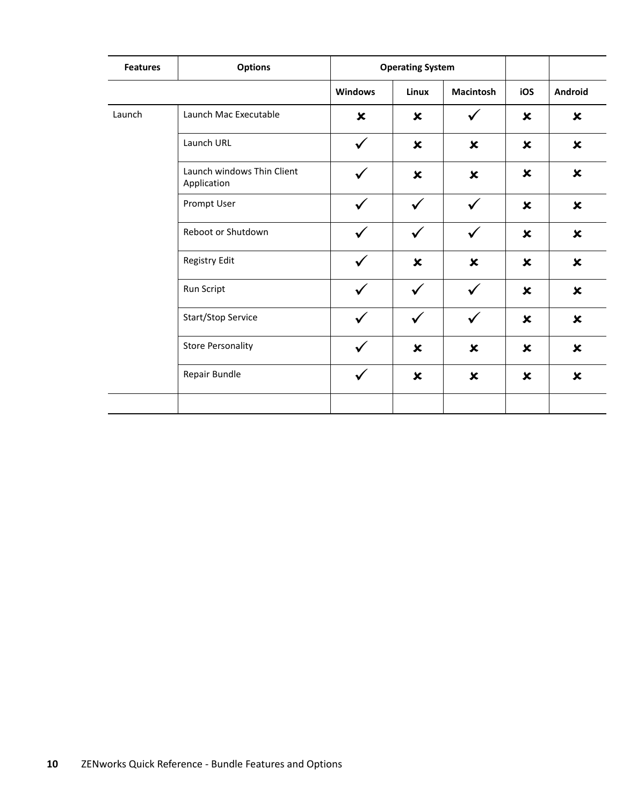| <b>Features</b> | <b>Options</b>                            | <b>Operating System</b> |                           |                           |                           |                           |
|-----------------|-------------------------------------------|-------------------------|---------------------------|---------------------------|---------------------------|---------------------------|
|                 |                                           | <b>Windows</b>          | Linux                     | <b>Macintosh</b>          | iOS                       | Android                   |
| Launch          | Launch Mac Executable                     | ×                       | $\boldsymbol{\mathsf{x}}$ | $\checkmark$              | $\boldsymbol{\mathsf{x}}$ | $\boldsymbol{\mathsf{x}}$ |
|                 | Launch URL                                | $\checkmark$            | $\boldsymbol{\mathsf{x}}$ | $\boldsymbol{\mathsf{x}}$ | $\boldsymbol{\mathsf{x}}$ | $\boldsymbol{\mathsf{x}}$ |
|                 | Launch windows Thin Client<br>Application | $\checkmark$            | $\pmb{\times}$            | $\pmb{\times}$            | $\boldsymbol{\mathsf{x}}$ | $\boldsymbol{\mathsf{x}}$ |
|                 | Prompt User                               |                         | $\checkmark$              | $\checkmark$              | $\boldsymbol{\mathsf{x}}$ | $\boldsymbol{\mathsf{x}}$ |
|                 | Reboot or Shutdown                        |                         | $\checkmark$              | $\checkmark$              | $\pmb{\times}$            | $\boldsymbol{\mathsf{x}}$ |
|                 | Registry Edit                             | $\checkmark$            | $\boldsymbol{\mathsf{x}}$ | $\pmb{\times}$            | $\boldsymbol{\mathsf{x}}$ | $\pmb{\times}$            |
|                 | Run Script                                | $\checkmark$            | $\checkmark$              | $\checkmark$              | $\boldsymbol{\mathsf{x}}$ | $\boldsymbol{\mathsf{x}}$ |
|                 | Start/Stop Service                        | ✓                       | $\checkmark$              | $\checkmark$              | $\boldsymbol{\mathsf{x}}$ | $\boldsymbol{\mathsf{x}}$ |
|                 | <b>Store Personality</b>                  | ✓                       | $\pmb{\times}$            | $\boldsymbol{\mathsf{x}}$ | $\boldsymbol{\mathsf{x}}$ | $\boldsymbol{\mathsf{x}}$ |
|                 | Repair Bundle                             |                         | $\boldsymbol{\mathsf{x}}$ | $\pmb{\times}$            | $\boldsymbol{\mathsf{x}}$ | $\pmb{\times}$            |
|                 |                                           |                         |                           |                           |                           |                           |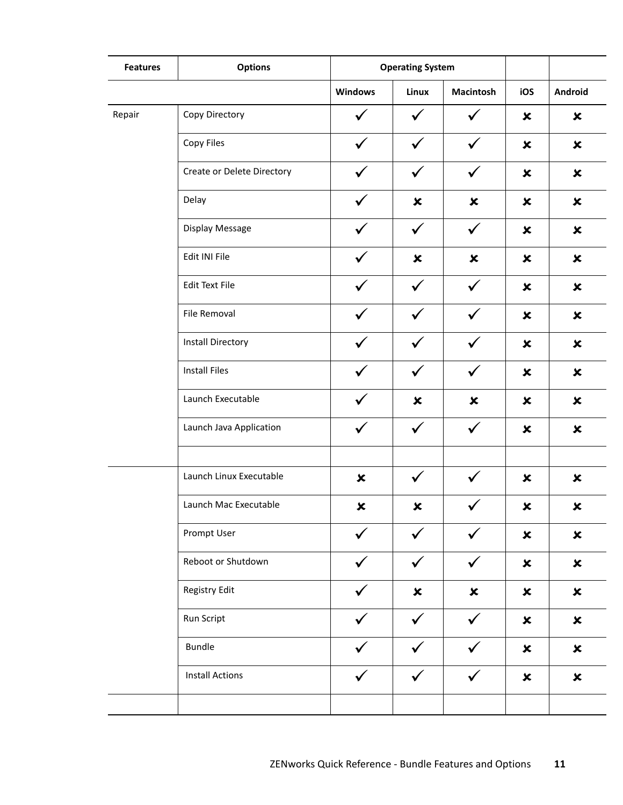| <b>Features</b> | <b>Options</b>             |                | <b>Operating System</b> |                           |                           |                |
|-----------------|----------------------------|----------------|-------------------------|---------------------------|---------------------------|----------------|
|                 |                            | <b>Windows</b> | Linux                   | <b>Macintosh</b>          | iOS                       | Android        |
| Repair          | Copy Directory             | ✓              | ✓                       |                           | $\pmb{\times}$            | $\pmb{\times}$ |
|                 | Copy Files                 | $\checkmark$   | $\checkmark$            | $\checkmark$              | $\pmb{\times}$            | $\pmb{\times}$ |
|                 | Create or Delete Directory |                | $\checkmark$            | $\checkmark$              | $\pmb{\times}$            | $\pmb{\times}$ |
|                 | Delay                      |                | $\pmb{\times}$          | $\pmb{\times}$            | $\pmb{\times}$            | $\pmb{\times}$ |
|                 | Display Message            | $\checkmark$   | $\checkmark$            | $\checkmark$              | $\pmb{\times}$            | $\pmb{\times}$ |
|                 | Edit INI File              |                | $\pmb{\times}$          | $\boldsymbol{\mathsf{x}}$ | $\pmb{\times}$            | $\pmb{\times}$ |
|                 | <b>Edit Text File</b>      |                | $\checkmark$            | $\checkmark$              | $\pmb{\times}$            | $\pmb{\times}$ |
|                 | File Removal               | ✓              | $\checkmark$            | $\checkmark$              | $\pmb{\times}$            | $\pmb{\times}$ |
|                 | <b>Install Directory</b>   |                | $\checkmark$            | $\checkmark$              | $\pmb{\times}$            | $\pmb{\times}$ |
|                 | <b>Install Files</b>       |                | $\checkmark$            | $\checkmark$              | $\boldsymbol{\mathsf{x}}$ | $\pmb{\times}$ |
|                 | Launch Executable          | ✓              | $\pmb{\times}$          | $\boldsymbol{\mathsf{x}}$ | $\boldsymbol{\mathsf{x}}$ | $\pmb{\times}$ |
|                 | Launch Java Application    |                | $\checkmark$            | $\checkmark$              | $\pmb{\times}$            | $\pmb{\times}$ |
|                 |                            |                |                         |                           |                           |                |
|                 | Launch Linux Executable    | $\pmb{\times}$ |                         |                           | $\pmb{\times}$            | $\pmb{\times}$ |
|                 | Launch Mac Executable      | ×              | ×                       |                           | ×                         | ×              |
|                 | Prompt User                | $\checkmark$   | $\checkmark$            | $\checkmark$              | $\pmb{\times}$            | $\pmb{\times}$ |
|                 | Reboot or Shutdown         |                | $\checkmark$            | $\checkmark$              | $\pmb{\times}$            | $\pmb{\times}$ |
|                 | Registry Edit              |                | $\pmb{\times}$          | $\pmb{\times}$            | $\pmb{\times}$            | $\pmb{\times}$ |
|                 | Run Script                 | ✓              | $\checkmark$            | $\checkmark$              | $\pmb{\times}$            | $\pmb{\times}$ |
|                 | <b>Bundle</b>              |                |                         | $\checkmark$              | $\pmb{\times}$            | $\pmb{\times}$ |
|                 | <b>Install Actions</b>     |                |                         |                           | $\boldsymbol{\mathsf{x}}$ | $\pmb{\times}$ |
|                 |                            |                |                         |                           |                           |                |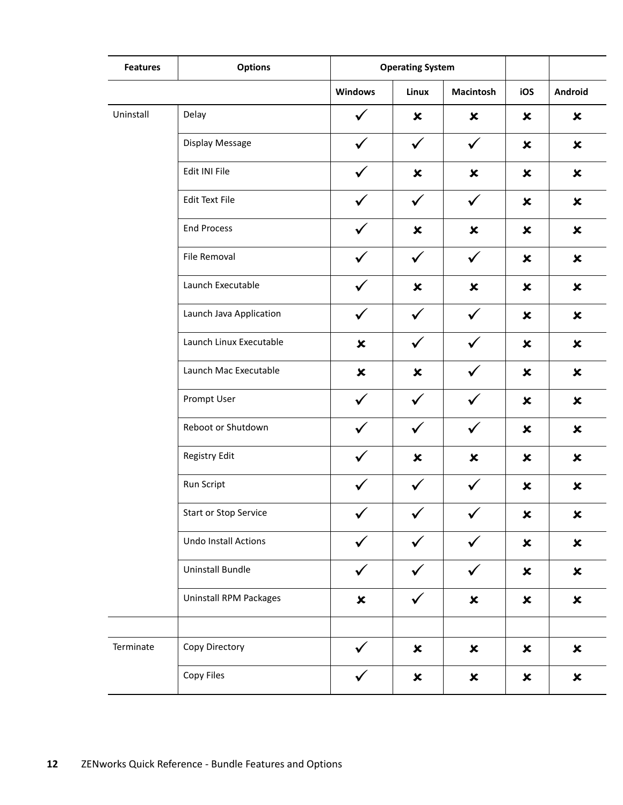| <b>Features</b> | <b>Options</b>               | <b>Operating System</b>   |                |                           |                           |                           |
|-----------------|------------------------------|---------------------------|----------------|---------------------------|---------------------------|---------------------------|
|                 |                              | <b>Windows</b>            | Linux          | <b>Macintosh</b>          | iOS                       | Android                   |
| Uninstall       | Delay                        |                           | $\pmb{\times}$ | $\pmb{\times}$            | $\boldsymbol{\mathsf{x}}$ | $\pmb{\times}$            |
|                 | Display Message              | ✓                         | $\checkmark$   | $\checkmark$              | $\boldsymbol{\mathsf{x}}$ | $\pmb{\times}$            |
|                 | Edit INI File                |                           | $\pmb{\times}$ | $\pmb{\times}$            | $\boldsymbol{\mathsf{x}}$ | $\boldsymbol{\mathsf{x}}$ |
|                 | <b>Edit Text File</b>        |                           | $\checkmark$   | $\checkmark$              | $\boldsymbol{\mathsf{x}}$ | $\pmb{\times}$            |
|                 | <b>End Process</b>           |                           | $\pmb{\times}$ | $\pmb{\times}$            | $\boldsymbol{\mathsf{x}}$ | $\pmb{\times}$            |
|                 | File Removal                 |                           | $\checkmark$   | $\checkmark$              | $\boldsymbol{\mathsf{x}}$ | $\boldsymbol{\mathsf{x}}$ |
|                 | Launch Executable            |                           | $\pmb{\times}$ | $\pmb{\times}$            | $\boldsymbol{\mathsf{x}}$ | $\boldsymbol{\mathsf{x}}$ |
|                 | Launch Java Application      | ✓                         | $\checkmark$   | $\checkmark$              | $\boldsymbol{\mathsf{x}}$ | $\pmb{\times}$            |
|                 | Launch Linux Executable      | $\boldsymbol{\mathsf{x}}$ | $\checkmark$   | ✓                         | $\boldsymbol{\mathsf{x}}$ | $\boldsymbol{\mathsf{x}}$ |
|                 | Launch Mac Executable        | $\pmb{\times}$            | $\pmb{\times}$ |                           | $\boldsymbol{\mathsf{x}}$ | $\pmb{\times}$            |
|                 | Prompt User                  | ✓                         | $\checkmark$   | $\checkmark$              | $\boldsymbol{\mathsf{x}}$ | $\pmb{\times}$            |
|                 | Reboot or Shutdown           |                           | ✓              | $\checkmark$              | $\boldsymbol{\mathsf{x}}$ | $\boldsymbol{\mathsf{x}}$ |
|                 | Registry Edit                |                           | $\pmb{\times}$ | $\pmb{\times}$            | ×                         | ×                         |
|                 | Run Script                   |                           | $\checkmark$   | $\checkmark$              | $\boldsymbol{\mathsf{x}}$ | $\pmb{\times}$            |
|                 | <b>Start or Stop Service</b> |                           | ✓              |                           | ×                         | ×                         |
|                 | Undo Install Actions         |                           |                |                           | $\pmb{\times}$            | $\pmb{\times}$            |
|                 | Uninstall Bundle             | $\checkmark$              | $\checkmark$   | $\checkmark$              | $\boldsymbol{\mathsf{x}}$ | $\pmb{\times}$            |
|                 | Uninstall RPM Packages       | $\pmb{\times}$            | $\checkmark$   | $\pmb{\times}$            | $\boldsymbol{\mathsf{x}}$ | $\pmb{\times}$            |
|                 |                              |                           |                |                           |                           |                           |
| Terminate       | Copy Directory               |                           | $\pmb{\times}$ | $\boldsymbol{\mathsf{x}}$ | $\boldsymbol{\mathsf{x}}$ | $\pmb{\times}$            |
|                 | Copy Files                   |                           | $\pmb{\times}$ | $\boldsymbol{\mathsf{x}}$ | $\boldsymbol{\mathsf{x}}$ | $\pmb{\times}$            |